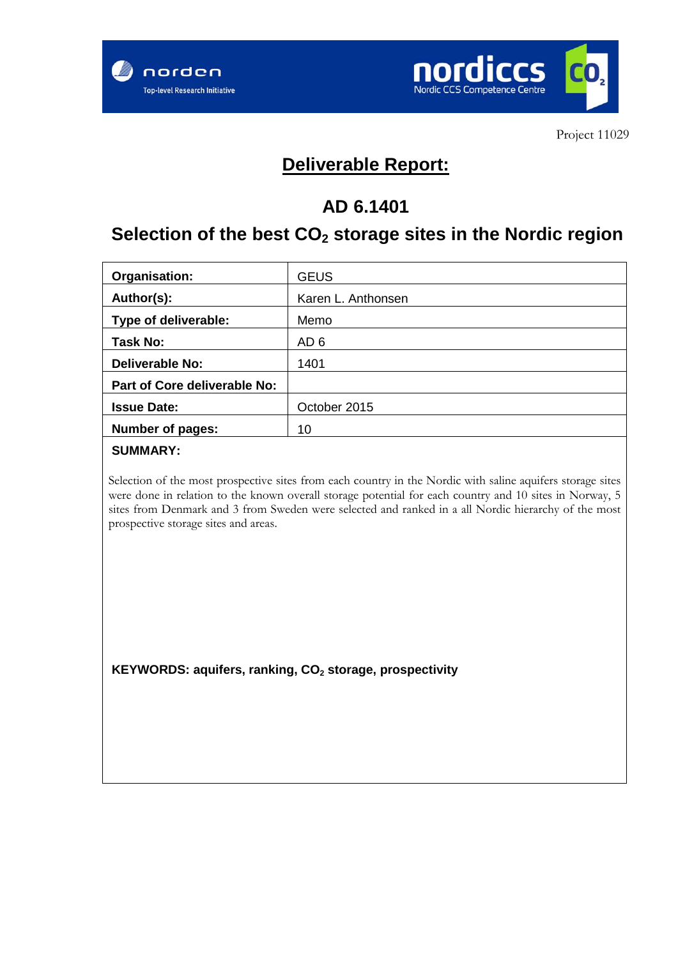



## **Deliverable Report:**

## **AD 6.1401**

# **Selection of the best CO2 storage sites in the Nordic region**

| Organisation:                | <b>GEUS</b>        |
|------------------------------|--------------------|
| Author(s):                   | Karen L. Anthonsen |
| Type of deliverable:         | Memo               |
| Task No:                     | AD <sub>6</sub>    |
| <b>Deliverable No:</b>       | 1401               |
| Part of Core deliverable No: |                    |
| <b>Issue Date:</b>           | October 2015       |
| Number of pages:             | 10                 |

#### **SUMMARY:**

Selection of the most prospective sites from each country in the Nordic with saline aquifers storage sites were done in relation to the known overall storage potential for each country and 10 sites in Norway, 5 sites from Denmark and 3 from Sweden were selected and ranked in a all Nordic hierarchy of the most prospective storage sites and areas.

KEYWORDS: aquifers, ranking, CO<sub>2</sub> storage, prospectivity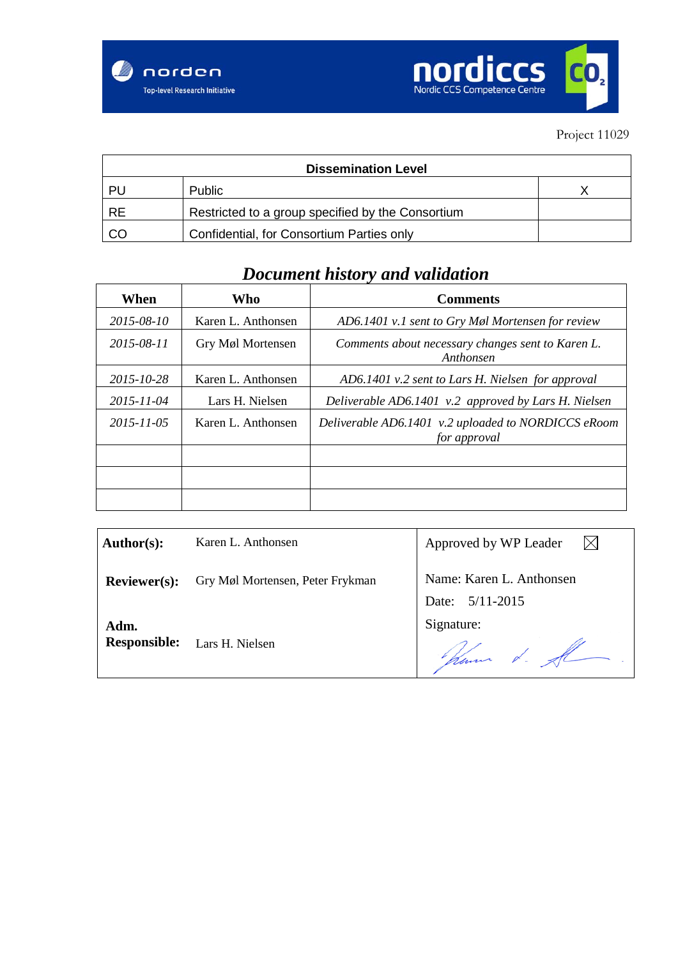



| <b>Dissemination Level</b> |                                                   |  |  |  |  |  |  |  |  |
|----------------------------|---------------------------------------------------|--|--|--|--|--|--|--|--|
| PU                         | <b>Public</b>                                     |  |  |  |  |  |  |  |  |
| <b>RE</b>                  | Restricted to a group specified by the Consortium |  |  |  |  |  |  |  |  |
| CO                         | Confidential, for Consortium Parties only         |  |  |  |  |  |  |  |  |

## *Document history and validation*

| When       | Who                | <b>Comments</b>                                                     |
|------------|--------------------|---------------------------------------------------------------------|
| 2015-08-10 | Karen L. Anthonsen | AD6.1401 v.1 sent to Gry Møl Mortensen for review                   |
| 2015-08-11 | Gry Møl Mortensen  | Comments about necessary changes sent to Karen L.<br>Anthonsen      |
| 2015-10-28 | Karen L. Anthonsen | AD6.1401 v.2 sent to Lars H. Nielsen for approval                   |
| 2015-11-04 | Lars H. Nielsen    | Deliverable AD6.1401 v.2 approved by Lars H. Nielsen                |
| 2015-11-05 | Karen L. Anthonsen | Deliverable AD6.1401 v.2 uploaded to NORDICCS eRoom<br>for approval |
|            |                    |                                                                     |
|            |                    |                                                                     |
|            |                    |                                                                     |

| Author(s):                  | Karen L. Anthonsen               | Approved by WP Leader                       |
|-----------------------------|----------------------------------|---------------------------------------------|
| <b>Reviewer(s):</b>         | Gry Møl Mortensen, Peter Frykman | Name: Karen L. Anthonsen<br>Date: 5/11-2015 |
| Adm.<br><b>Responsible:</b> | Lars H. Nielsen                  | Signature:<br>plemmer d. A                  |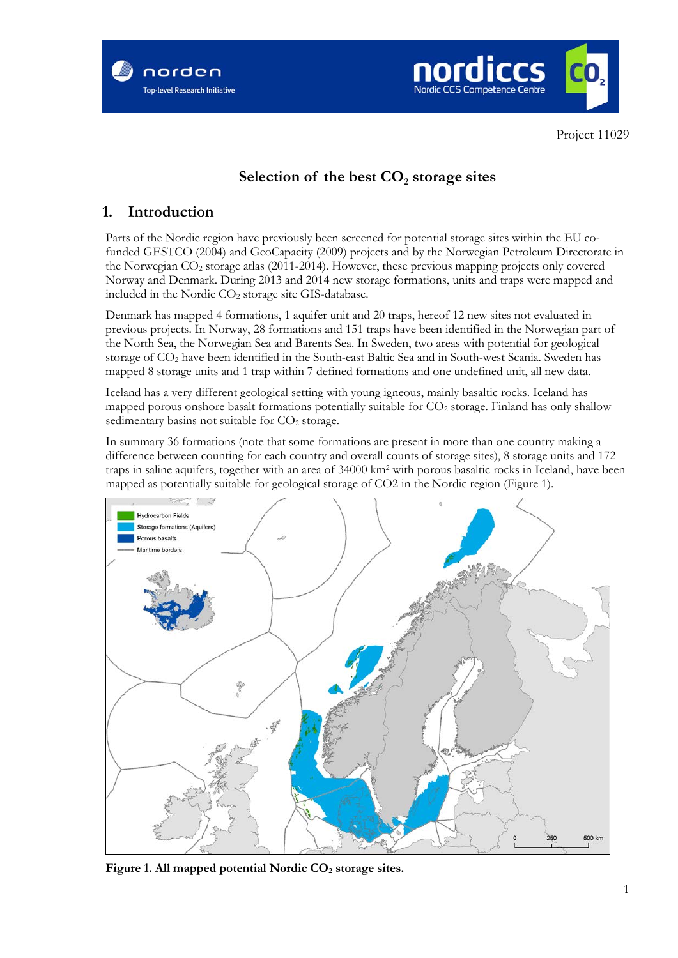



## Selection of the best  $CO<sub>2</sub>$  storage sites

### **1. Introduction**

Parts of the Nordic region have previously been screened for potential storage sites within the EU cofunded GESTCO (2004) and GeoCapacity (2009) projects and by the Norwegian Petroleum Directorate in the Norwegian CO2 storage atlas (2011-2014). However, these previous mapping projects only covered Norway and Denmark. During 2013 and 2014 new storage formations, units and traps were mapped and included in the Nordic CO<sub>2</sub> storage site GIS-database.

Denmark has mapped 4 formations, 1 aquifer unit and 20 traps, hereof 12 new sites not evaluated in previous projects. In Norway, 28 formations and 151 traps have been identified in the Norwegian part of the North Sea, the Norwegian Sea and Barents Sea. In Sweden, two areas with potential for geological storage of CO2 have been identified in the South-east Baltic Sea and in South-west Scania. Sweden has mapped 8 storage units and 1 trap within 7 defined formations and one undefined unit, all new data.

Iceland has a very different geological setting with young igneous, mainly basaltic rocks. Iceland has mapped porous onshore basalt formations potentially suitable for  $CO<sub>2</sub>$  storage. Finland has only shallow sedimentary basins not suitable for  $CO<sub>2</sub>$  storage.

In summary 36 formations (note that some formations are present in more than one country making a difference between counting for each country and overall counts of storage sites), 8 storage units and 172 traps in saline aquifers, together with an area of 34000 km2 with porous basaltic rocks in Iceland, have been mapped as potentially suitable for geological storage of CO2 in the Nordic region (Figure 1).



Figure 1. All mapped potential Nordic CO<sub>2</sub> storage sites.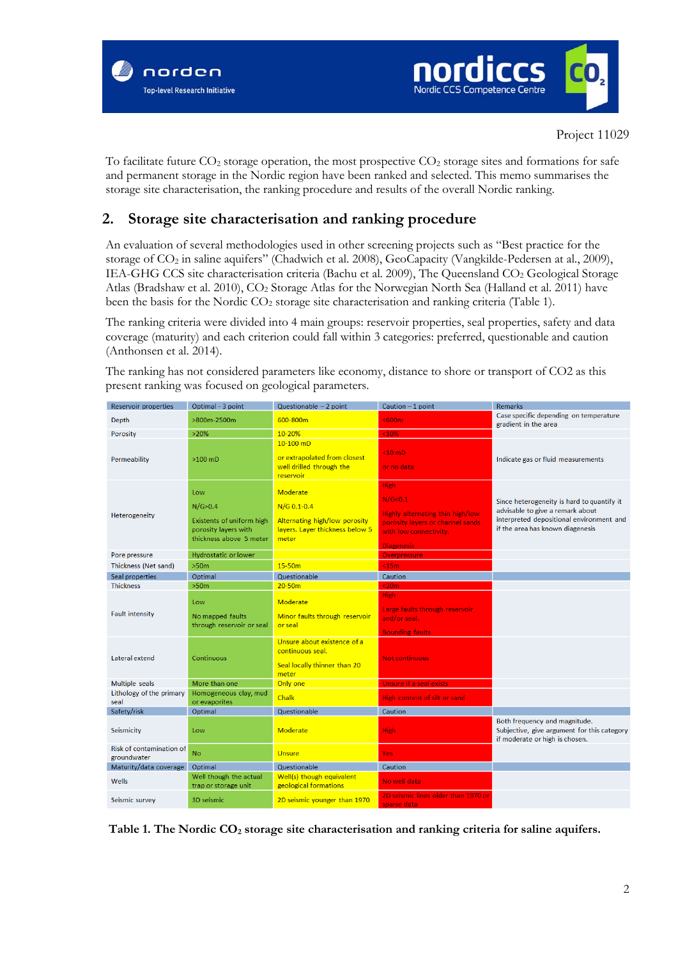



To facilitate future  $CO_2$  storage operation, the most prospective  $CO_2$  storage sites and formations for safe and permanent storage in the Nordic region have been ranked and selected. This memo summarises the storage site characterisation, the ranking procedure and results of the overall Nordic ranking.

### **2. Storage site characterisation and ranking procedure**

An evaluation of several methodologies used in other screening projects such as "Best practice for the storage of CO2 in saline aquifers" (Chadwich et al. 2008), GeoCapacity (Vangkilde-Pedersen at al., 2009), IEA-GHG CCS site characterisation criteria (Bachu et al. 2009), The Queensland CO2 Geological Storage Atlas (Bradshaw et al. 2010), CO<sub>2</sub> Storage Atlas for the Norwegian North Sea (Halland et al. 2011) have been the basis for the Nordic CO<sub>2</sub> storage site characterisation and ranking criteria (Table 1).

The ranking criteria were divided into 4 main groups: reservoir properties, seal properties, safety and data coverage (maturity) and each criterion could fall within 3 categories: preferred, questionable and caution (Anthonsen et al. 2014).

The ranking has not considered parameters like economy, distance to shore or transport of CO2 as this present ranking was focused on geological parameters.

| <b>Reservoir properties</b>             | Optimal - 3 point                                                                                | Questionable - 2 point                                                                                 | Caution $-1$ point                                                                                                                                              | <b>Remarks</b>                                                                                                                                                 |
|-----------------------------------------|--------------------------------------------------------------------------------------------------|--------------------------------------------------------------------------------------------------------|-----------------------------------------------------------------------------------------------------------------------------------------------------------------|----------------------------------------------------------------------------------------------------------------------------------------------------------------|
| Depth                                   | >800m-2500m                                                                                      | 600-800m                                                                                               | <600m                                                                                                                                                           | Case specific depending on temperature<br>gradient in the area                                                                                                 |
| Porosity                                | $>20\%$                                                                                          | 10-20%                                                                                                 | < 10%                                                                                                                                                           |                                                                                                                                                                |
| Permeability                            | $>100$ mD                                                                                        | $10-100$ mD<br>or extrapolated from closest<br>well drilled through the<br>reservoir                   | $< 10$ mD<br>or no data                                                                                                                                         | Indicate gas or fluid measurements                                                                                                                             |
| Heterogeneity                           | Low<br>N/G > 0.4<br>Existents of uniform high<br>porosity layers with<br>thickness above 5 meter | Moderate<br>$N/G$ 0.1-0.4<br>Alternating high/low porosity<br>layers. Layer thickness below 5<br>meter | <b>High</b><br>N/G <sub>0.1</sub><br><b>Highly alternating thin high/low</b><br>porosity layers or channel sands<br>with low connectivity.<br><b>Diagenesis</b> | Since heterogeneity is hard to quantify it<br>advisable to give a remark about<br>interpreted depositional environment and<br>if the area has known diagenesis |
| Pore pressure                           | <b>Hydrostatic or lower</b>                                                                      |                                                                                                        | Overpressure                                                                                                                                                    |                                                                                                                                                                |
| Thickness (Net sand)                    | >50m                                                                                             | $15-50m$                                                                                               | $15m$                                                                                                                                                           |                                                                                                                                                                |
| Seal properties                         | Optimal                                                                                          | Questionable                                                                                           | Caution                                                                                                                                                         |                                                                                                                                                                |
| <b>Thickness</b>                        | >50m                                                                                             | $20 - 50m$                                                                                             | $20m$                                                                                                                                                           |                                                                                                                                                                |
| <b>Fault intensity</b>                  | Low<br>No mapped faults<br>through reservoir or seal                                             | <b>Moderate</b><br>Minor faults through reservoir<br>or seal                                           | <b>High</b><br>Large faults through reservoir<br>and/or seal.<br><b>Bounding faults</b>                                                                         |                                                                                                                                                                |
| Lateral extend                          | Continuous                                                                                       | Unsure about existence of a<br>continuous seal.<br>Seal locally thinner than 20<br>meter               | <b>Not continuous</b>                                                                                                                                           |                                                                                                                                                                |
| Multiple seals                          | More than one                                                                                    | Only one                                                                                               | Unsure if a seal exists                                                                                                                                         |                                                                                                                                                                |
| Lithology of the primary<br>seal        | Homogeneous clay, mud<br>or evaporites                                                           | <b>Chalk</b>                                                                                           | High content of silt or sand                                                                                                                                    |                                                                                                                                                                |
| Safety/risk                             | Optimal                                                                                          | Questionable                                                                                           | Caution                                                                                                                                                         |                                                                                                                                                                |
| Seismicity                              | Low                                                                                              | <b>Moderate</b>                                                                                        | <b>High</b>                                                                                                                                                     | Both frequency and magnitude.<br>Subjective, give argument for this category<br>if moderate or high is chosen.                                                 |
| Risk of contamination of<br>groundwater | <b>No</b>                                                                                        | <b>Unsure</b>                                                                                          | <b>Yes</b>                                                                                                                                                      |                                                                                                                                                                |
| Maturity/data coverage                  | Optimal                                                                                          | Questionable                                                                                           | Caution                                                                                                                                                         |                                                                                                                                                                |
| Wells                                   | Well though the actual<br>trap or storage unit                                                   | Well(s) though equivalent<br>geological formations                                                     | No well data                                                                                                                                                    |                                                                                                                                                                |
| Seismic survey                          | 3D seismic                                                                                       | 2D seismic younger than 1970                                                                           | 2D seismic lines older than 1970 or<br>sparse data                                                                                                              |                                                                                                                                                                |

Table 1. The Nordic CO<sub>2</sub> storage site characterisation and ranking criteria for saline aquifers.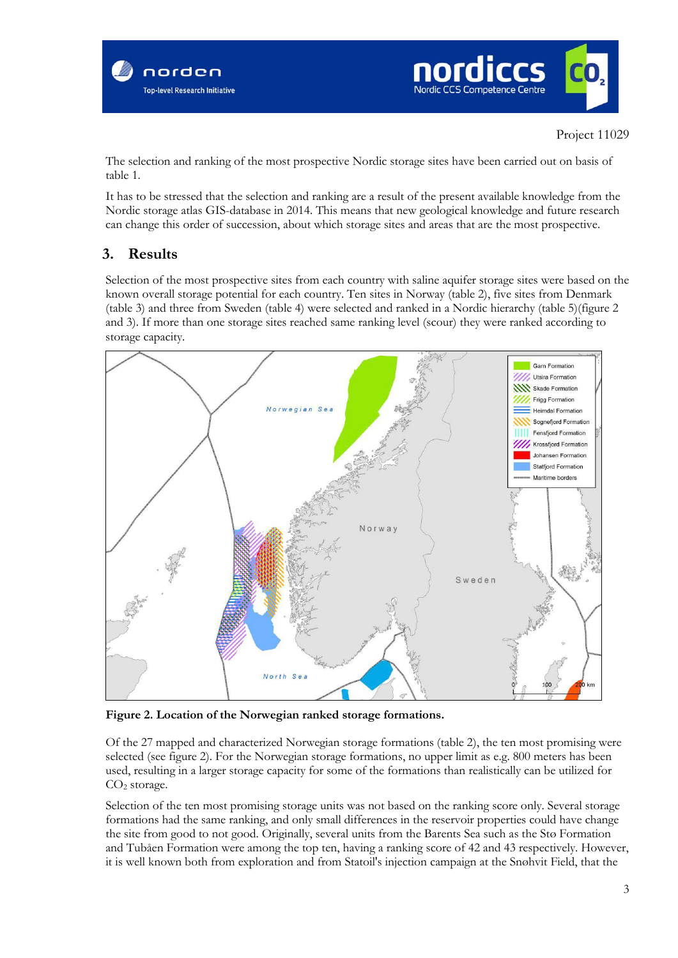



The selection and ranking of the most prospective Nordic storage sites have been carried out on basis of table 1.

It has to be stressed that the selection and ranking are a result of the present available knowledge from the Nordic storage atlas GIS-database in 2014. This means that new geological knowledge and future research can change this order of succession, about which storage sites and areas that are the most prospective.

### **3. Results**

Selection of the most prospective sites from each country with saline aquifer storage sites were based on the known overall storage potential for each country. Ten sites in Norway (table 2), five sites from Denmark (table 3) and three from Sweden (table 4) were selected and ranked in a Nordic hierarchy (table 5)(figure 2 and 3). If more than one storage sites reached same ranking level (scour) they were ranked according to storage capacity.



**Figure 2. Location of the Norwegian ranked storage formations.**

Of the 27 mapped and characterized Norwegian storage formations (table 2), the ten most promising were selected (see figure 2). For the Norwegian storage formations, no upper limit as e.g. 800 meters has been used, resulting in a larger storage capacity for some of the formations than realistically can be utilized for CO<sub>2</sub> storage.

Selection of the ten most promising storage units was not based on the ranking score only. Several storage formations had the same ranking, and only small differences in the reservoir properties could have change the site from good to not good. Originally, several units from the Barents Sea such as the Stø Formation and Tubåen Formation were among the top ten, having a ranking score of 42 and 43 respectively. However, it is well known both from exploration and from Statoil's injection campaign at the Snøhvit Field, that the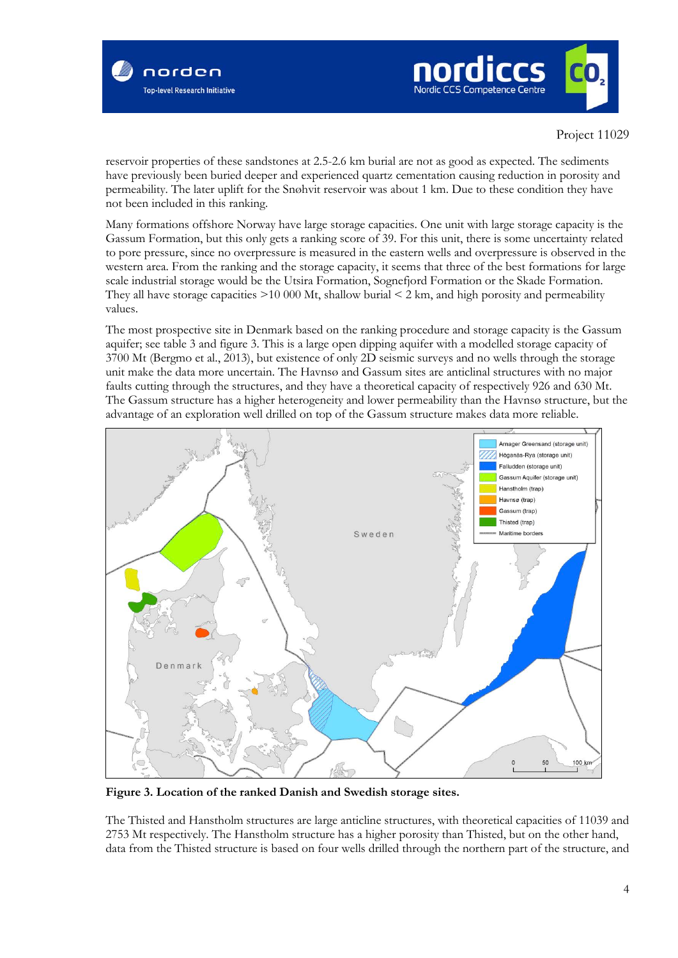



reservoir properties of these sandstones at 2.5-2.6 km burial are not as good as expected. The sediments have previously been buried deeper and experienced quartz cementation causing reduction in porosity and permeability. The later uplift for the Snøhvit reservoir was about 1 km. Due to these condition they have not been included in this ranking.

Many formations offshore Norway have large storage capacities. One unit with large storage capacity is the Gassum Formation, but this only gets a ranking score of 39. For this unit, there is some uncertainty related to pore pressure, since no overpressure is measured in the eastern wells and overpressure is observed in the western area. From the ranking and the storage capacity, it seems that three of the best formations for large scale industrial storage would be the Utsira Formation, Sognefjord Formation or the Skade Formation. They all have storage capacities  $>10000$  Mt, shallow burial  $\leq 2$  km, and high porosity and permeability values.

The most prospective site in Denmark based on the ranking procedure and storage capacity is the Gassum aquifer; see table 3 and figure 3. This is a large open dipping aquifer with a modelled storage capacity of 3700 Mt (Bergmo et al., 2013), but existence of only 2D seismic surveys and no wells through the storage unit make the data more uncertain. The Havnsø and Gassum sites are anticlinal structures with no major faults cutting through the structures, and they have a theoretical capacity of respectively 926 and 630 Mt. The Gassum structure has a higher heterogeneity and lower permeability than the Havnsø structure, but the advantage of an exploration well drilled on top of the Gassum structure makes data more reliable.



**Figure 3. Location of the ranked Danish and Swedish storage sites.** 

The Thisted and Hanstholm structures are large anticline structures, with theoretical capacities of 11039 and 2753 Mt respectively. The Hanstholm structure has a higher porosity than Thisted, but on the other hand, data from the Thisted structure is based on four wells drilled through the northern part of the structure, and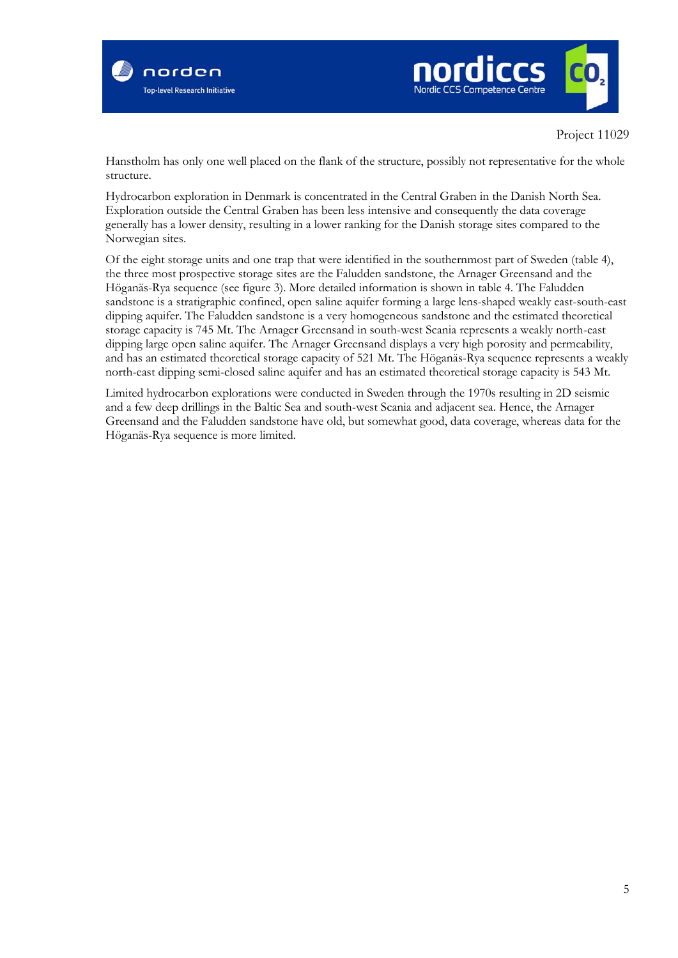



Hanstholm has only one well placed on the flank of the structure, possibly not representative for the whole structure.

Hydrocarbon exploration in Denmark is concentrated in the Central Graben in the Danish North Sea. Exploration outside the Central Graben has been less intensive and consequently the data coverage generally has a lower density, resulting in a lower ranking for the Danish storage sites compared to the Norwegian sites.

Of the eight storage units and one trap that were identified in the southernmost part of Sweden (table 4), the three most prospective storage sites are the Faludden sandstone, the Arnager Greensand and the Höganäs-Rya sequence (see figure 3). More detailed information is shown in table 4. The Faludden sandstone is a stratigraphic confined, open saline aquifer forming a large lens-shaped weakly east-south-east dipping aquifer. The Faludden sandstone is a very homogeneous sandstone and the estimated theoretical storage capacity is 745 Mt. The Arnager Greensand in south-west Scania represents a weakly north-east dipping large open saline aquifer. The Arnager Greensand displays a very high porosity and permeability, and has an estimated theoretical storage capacity of 521 Mt. The Höganäs-Rya sequence represents a weakly north-east dipping semi-closed saline aquifer and has an estimated theoretical storage capacity is 543 Mt.

Limited hydrocarbon explorations were conducted in Sweden through the 1970s resulting in 2D seismic and a few deep drillings in the Baltic Sea and south-west Scania and adjacent sea. Hence, the Arnager Greensand and the Faludden sandstone have old, but somewhat good, data coverage, whereas data for the Höganäs-Rya sequence is more limited.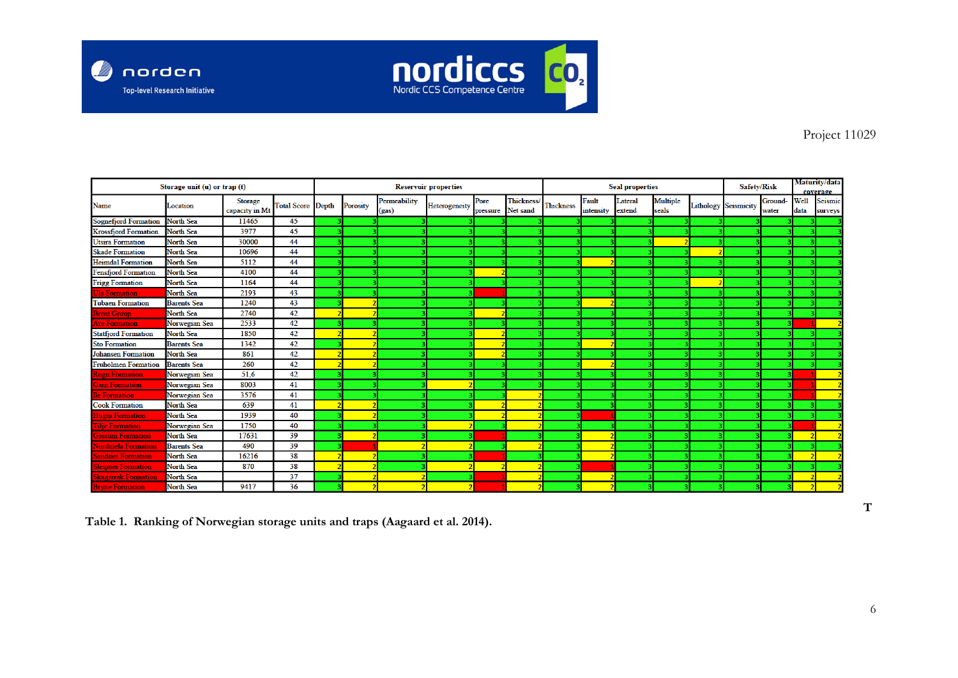



|                             | Storage unit (u) or trap (t) |                                  | <b>Seal properties</b><br><b>Reservoir properties</b> |  |          |                       |               | Safety/Risk      | Maturity/data<br>coverage |                  |                    |                   |                   |  |                             |                  |                     |                           |
|-----------------------------|------------------------------|----------------------------------|-------------------------------------------------------|--|----------|-----------------------|---------------|------------------|---------------------------|------------------|--------------------|-------------------|-------------------|--|-----------------------------|------------------|---------------------|---------------------------|
| Name                        | Location                     | <b>Storage</b><br>capacity in Mt | <b>Total Score Depth</b>                              |  | Porosity | Permeability<br>(gas) | Heterogeneity | Pore<br>pressure | Thickness/<br>Net sand    | <b>Thickness</b> | Fault<br>intensity | Lateral<br>extend | Multiple<br>seals |  | <b>Lithology Seismicity</b> | Ground-<br>water | <b>Well</b><br>data | <b>Seismic</b><br>surveys |
| <b>Sognefjord Formation</b> | <b>North Sea</b>             | 11465                            | 45                                                    |  |          |                       |               |                  |                           |                  |                    |                   |                   |  |                             |                  |                     |                           |
| <b>Krossfjord Formation</b> | <b>North Sea</b>             | 3977                             | 45                                                    |  |          |                       |               |                  |                           |                  |                    |                   |                   |  |                             |                  |                     |                           |
| <b>Utsira Formation</b>     | North Sea                    | 30000                            | 44                                                    |  |          |                       |               |                  |                           |                  |                    |                   |                   |  |                             |                  |                     |                           |
| <b>Skade Formation</b>      | <b>North Sea</b>             | 10696                            | 44                                                    |  |          |                       |               |                  |                           |                  |                    |                   |                   |  |                             |                  |                     |                           |
| <b>Heimdal Formation</b>    | <b>North Sea</b>             | 5112                             | 44                                                    |  |          |                       |               |                  |                           |                  |                    |                   |                   |  |                             |                  |                     |                           |
| <b>Fensfjord Formation</b>  | <b>North Sea</b>             | 4100                             | 44                                                    |  |          |                       |               |                  |                           |                  |                    |                   |                   |  |                             |                  |                     |                           |
| <b>Frigg Formation</b>      | North Sea                    | 1164                             | 44                                                    |  |          |                       |               |                  |                           |                  |                    |                   |                   |  |                             |                  |                     |                           |
| <b>Jla Formation</b>        | North Sea                    | 2193                             | 43                                                    |  |          |                       |               |                  |                           |                  |                    |                   |                   |  |                             |                  |                     |                           |
| <b>Tubaen Formation</b>     | <b>Barents</b> Sea           | 1240                             | 43                                                    |  |          |                       |               |                  |                           |                  |                    |                   |                   |  |                             |                  |                     |                           |
| <b>Brent Group</b>          | <b>North Sea</b>             | 2740                             | 42                                                    |  |          |                       |               |                  |                           |                  |                    |                   |                   |  |                             |                  |                     |                           |
| <b>Are Formation</b>        | Norwegian Sea                | 2533                             | 42                                                    |  |          |                       |               |                  |                           |                  |                    |                   |                   |  |                             |                  |                     |                           |
| <b>Statfjord Formation</b>  | <b>North Sea</b>             | 1850                             | 42                                                    |  |          |                       |               |                  |                           |                  |                    |                   |                   |  |                             |                  |                     |                           |
| <b>Sto Formation</b>        | <b>Barents</b> Sea           | 1342                             | 42                                                    |  |          |                       |               |                  |                           |                  |                    |                   |                   |  |                             |                  |                     |                           |
| <b>Johansen Formation</b>   | <b>North Sea</b>             | 861                              | 42                                                    |  |          |                       |               |                  |                           |                  |                    |                   |                   |  |                             |                  |                     |                           |
| <b>Fruholmen Formation</b>  | <b>Barents</b> Sea           | 260                              | 42                                                    |  |          |                       |               |                  |                           |                  |                    |                   |                   |  |                             |                  |                     |                           |
| <b>Cogn Formation</b>       | Norwegian Sea                | 51,6                             | 42                                                    |  |          |                       |               |                  |                           |                  |                    |                   |                   |  |                             |                  |                     |                           |
| <b>Garn Formation</b>       | Norwegian Sea                | 8003                             | 41                                                    |  |          |                       |               |                  |                           |                  |                    |                   |                   |  |                             |                  |                     |                           |
| <b>De Formation</b>         | Norwegian Sea                | 3576                             | 41                                                    |  |          |                       |               |                  |                           |                  |                    |                   |                   |  |                             |                  |                     |                           |
| <b>Cook Formation</b>       | North Sea                    | 639                              | 41                                                    |  |          |                       |               |                  |                           |                  |                    |                   |                   |  |                             |                  |                     |                           |
| <b>Hugin Formation</b>      | North Sea                    | 1939                             | 40                                                    |  |          |                       |               |                  |                           |                  |                    |                   |                   |  |                             |                  |                     |                           |
| <b>Tilje Formation</b>      | Norwegian Sea                | 1750                             | 40                                                    |  |          |                       |               |                  |                           |                  |                    |                   |                   |  |                             |                  |                     |                           |
| <b>Gassum Formation</b>     | <b>North Sea</b>             | 17631                            | 39                                                    |  |          |                       |               |                  |                           |                  |                    |                   |                   |  |                             |                  |                     |                           |
| <b>Nordmela Formation</b>   | <b>Barents Sea</b>           | 490                              | 39                                                    |  |          |                       |               |                  |                           |                  |                    |                   |                   |  |                             |                  |                     |                           |
| <b>Sandnes Formation</b>    | <b>North Sea</b>             | 16216                            | 38                                                    |  |          |                       |               |                  |                           |                  |                    |                   |                   |  |                             |                  |                     |                           |
| <b>Sleipner Formation</b>   | <b>North Sea</b>             | 870                              | 38                                                    |  |          |                       |               |                  |                           |                  |                    |                   |                   |  |                             |                  |                     |                           |
| Skagerrak Formation         | <b>North Sea</b>             |                                  | 37                                                    |  |          |                       |               |                  |                           |                  |                    |                   |                   |  |                             |                  |                     |                           |
| <b>Bryne Formation</b>      | <b>North Sea</b>             | 9417                             | 36                                                    |  |          |                       |               |                  |                           |                  |                    |                   |                   |  |                             |                  |                     |                           |

**Table 1. Ranking of Norwegian storage units and traps (Aagaard et al. 2014).**

**T**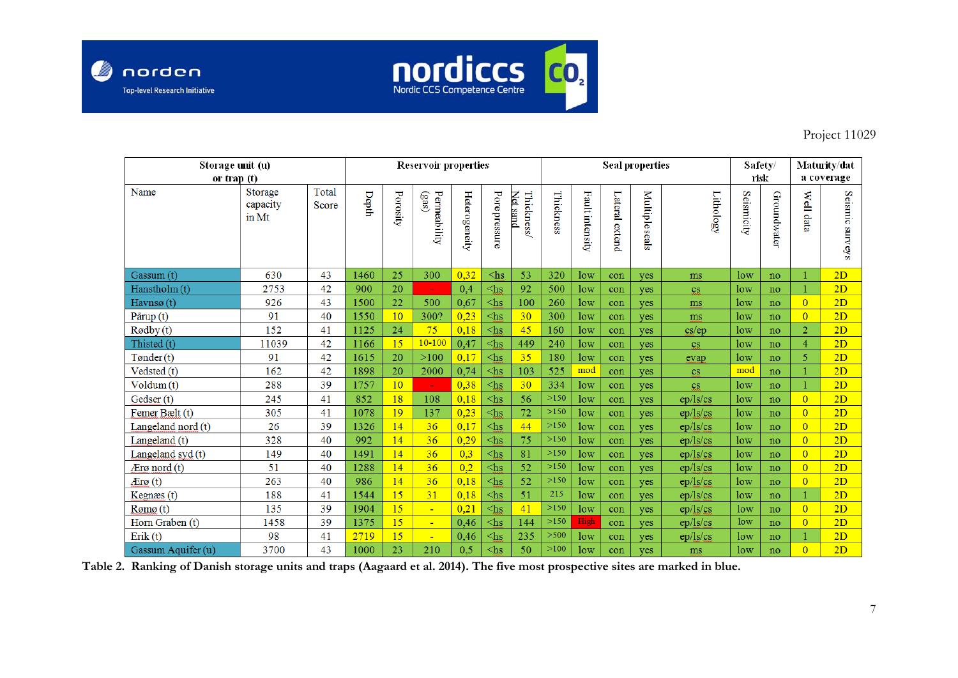



| Storage unit (u)           |                              |                | <b>Reservoir properties</b> |          |                       |               |                    | <b>Seal properties</b>       |           |                 |                |                      |                        | Safety/         |             | Maturity/dat   |                 |
|----------------------------|------------------------------|----------------|-----------------------------|----------|-----------------------|---------------|--------------------|------------------------------|-----------|-----------------|----------------|----------------------|------------------------|-----------------|-------------|----------------|-----------------|
| or trap (t)                |                              |                |                             |          |                       |               |                    |                              |           |                 |                | risk                 |                        | a coverage      |             |                |                 |
| Name                       | Storage<br>capacity<br>in Mt | Total<br>Score | Depth                       | Porosity | Permeability<br>(333) | Heterogeneity | Pore pressure      | Thickness<br><b>Net sand</b> | Thickness | Fault intensity | Lateral extend | <b>Multipleseals</b> | Lithology              | Seismicity      | Groundwater | Well data      | Seismic surveys |
| Gassum (t)                 | 630                          | 43             | 1460                        | 25       | 300                   | 0,32          | $\triangle$ hs     | 53                           | 320       | low             | con            | yes                  | ms                     | low             | no          |                | 2D              |
| Hanstholm (t)              | 2753                         | 42             | 900                         | 20       | ÷                     | 0,4           | $\triangle$ hs     | 92                           | 500       | low             | con            | yes                  | $\mathbf{c}\mathbf{s}$ | low             | no          |                | 2D              |
| Havnsø $(t)$               | 926                          | 43             | 1500                        | 22       | 500                   | 0,67          | $\triangle$ hs     | 100                          | 260       | low             | con            | yes                  | ms                     | low             | no          | $\overline{0}$ | 2D              |
| Pårup (t)                  | 91                           | 40             | 1550                        | 10       | 300?                  | 0,23          | $\triangle$ hs     | 30                           | 300       | low             | con            | yes                  | ms                     | low             | no          | $\overline{0}$ | 2D              |
| Rødby(t)                   | 152                          | 41             | 1125                        | 24       | 75                    | 0,18          | $\triangle$ hs     | 45                           | 160       | low             | con            | yes                  | cs/ep                  | low             | no          | $\overline{2}$ | 2D              |
| Thisted (t)                | 11039                        | 42             | 1166                        | 15       | $10 - 100$            | 0,47          | $\triangle$ hs     | 449                          | 240       | low             | con            | yes                  | $\mathbf{c}\mathbf{s}$ | low             | no          | $\overline{4}$ | 2D              |
| Tønder(t)                  | 91                           | 42             | 1615                        | 20       | $>100$                | 0,17          | $\triangleleft$ hs | 35                           | 180       | low             | con            | yes                  | evap                   | low             | no          | 5              | 2D              |
| Vedsted (t)                | 162                          | 42             | 1898                        | 20       | 2000                  | 0,74          | $\triangle$ hs     | 103                          | 525       | mod             | con            | yes                  | $\mathbf{c}\mathbf{s}$ | mod             | no          |                | 2D              |
| Volume(t)                  | 288                          | 39             | 1757                        | 10       | ÷                     | 0,38          | $\triangle$ hs     | 30                           | 334       | low             | con            | yes                  | $\mathbf{c}\mathbf{s}$ | low             | no          |                | 2D              |
| Gedser (t)                 | 245                          | 41             | 852                         | 18       | 108                   | 0,18          | $\triangle$ hs     | 56                           | >150      | low             | con            | yes                  | ep/ls/cs               | low             | no          | $\overline{0}$ | 2D              |
| Femer Bælt (t)             | 305                          | 41             | 1078                        | 19       | 137                   | 0,23          | $\triangle$ hs     | 72                           | >150      | low             | con            | yes                  | ep/ls/cs               | low             | no          | $\overline{0}$ | 2D              |
| Langeland nord (t)         | 26                           | 39             | 1326                        | 14       | 36                    | 0,17          | $\triangle$ hs     | 44                           | >150      | low             | con            | yes                  | ep/ls/cs               | low             | no          | $\overline{0}$ | 2D              |
| Langeland (t)              | 328                          | 40             | 992                         | 14       | 36                    | 0,29          | $\triangle$ hs     | 75                           | >150      | low             | con            | yes                  | ep/ls/cs               | low             | no          | $\overline{0}$ | 2D              |
| Langeland syd (t)          | 149                          | 40             | 1491                        | 14       | 36                    | 0,3           | $\triangle$ hs     | 81                           | >150      | low             | con            | yes                  | ep/ls/cs               | low             | no          | $\overline{0}$ | 2D              |
| $\mathcal{A}$ row nord (t) | 51                           | 40             | 1288                        | 14       | 36                    | 0,2           | $\triangle$ hs     | 52                           | >150      | low             | con            | yes                  | ep/ls/cs               | low             | no          | $\overline{0}$ | 2D              |
| $A$ <sub>Erø</sub> $(t)$   | 263                          | 40             | 986                         | 14       | 36                    | 0,18          | $\triangle$ hs     | 52                           | $>150$    | low             | con            | yes                  | ep/ls/cs               | low             | no          | $\overline{0}$ | 2D              |
| Kegnæs (t)                 | 188                          | 41             | 1544                        | 15       | 31                    | 0,18          | $\triangle$ hs     | 51                           | 215       | low             | con            | yes                  | ep/ls/cs               | low             | no          |                | 2D              |
| Rømø(t)                    | 135                          | 39             | 1904                        | 15       | $\blacksquare$        | 0,21          | $\triangle$ hs     | 41                           | >150      | low             | con            | yes                  | ep/ls/cs               | low             | no          | $\overline{0}$ | 2D              |
| Horn Graben (t)            | 1458                         | 39             | 1375                        | 15       | u,                    | 0,46          | $\triangle$ hs     | 144                          | >150      | High            | con            | ves                  | ep/ls/cs               | 1 <sub>ow</sub> | no          | $\overline{0}$ | 2D              |
| Erik(t)                    | 98                           | 41             | 2719                        | 15       | $\blacksquare$        | 0,46          | $\triangle$ hs     | 235                          | >500      | low             | con            | ves                  | ep/ls/cs               | low             | no          |                | 2D              |
| Gassum Aquifer (u)         | 3700                         | 43             | 1000                        | 23       | 210                   | 0,5           | $\triangle$ hs     | 50                           | >100      | low             | con            | ves                  | ms                     | low             | no          | $\Omega$       | 2D              |

**Table 2. Ranking of Danish storage units and traps (Aagaard et al. 2014). The five most prospective sites are marked in blue.**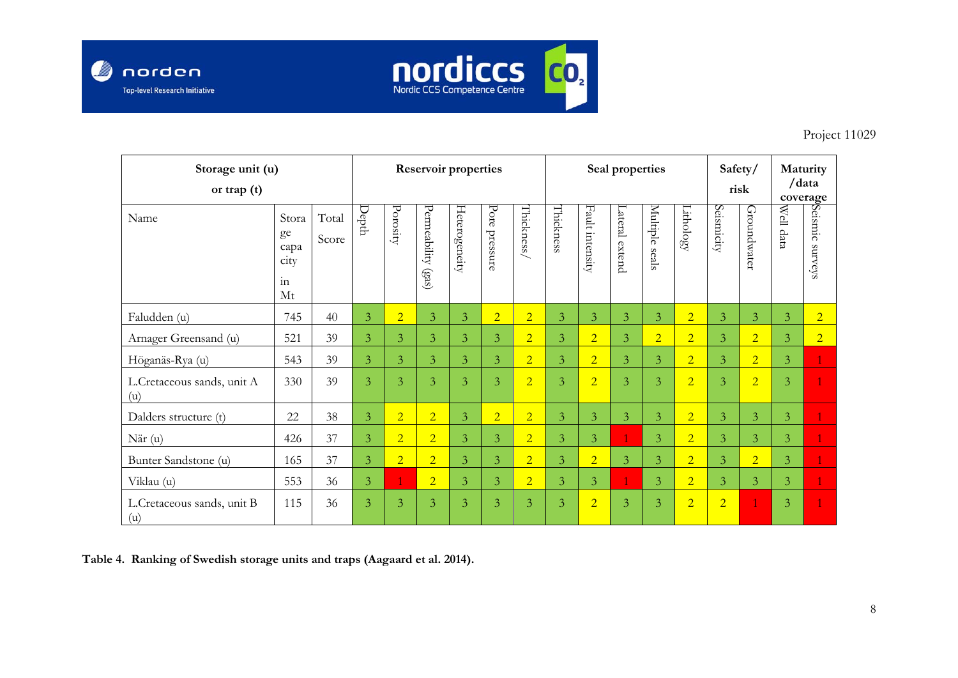



| Storage unit (u)<br>or trap $(t)$ |                                         |                | <b>Reservoir properties</b> |                |                                   |                |                  |                |                |                    | Seal properties |                   | Safety/<br>risk |                | Maturity<br>/data<br>coverage |                       |                    |
|-----------------------------------|-----------------------------------------|----------------|-----------------------------|----------------|-----------------------------------|----------------|------------------|----------------|----------------|--------------------|-----------------|-------------------|-----------------|----------------|-------------------------------|-----------------------|--------------------|
| Name                              | Stora<br>ge<br>capa<br>city<br>in<br>Mt | Total<br>Score | Depth                       | Porosity       | Permeability<br>(s <sub>3</sub> ) | Heterogeneity  | Pore<br>pressure | Thickness/     | Thickness      | Fault<br>intensity | ateral extend   | Multiple<br>seals | Lithology       | Seismicity     | Groundwater                   | <b>Well</b><br>l data | Seismic<br>sanneys |
| Faludden (u)                      | 745                                     | 40             | $\overline{3}$              | $\overline{2}$ | $\overline{3}$                    | $\overline{3}$ | $\overline{2}$   | $\overline{2}$ | $\overline{3}$ | $\overline{3}$     | 3               | $\overline{3}$    | $\overline{2}$  | $\overline{3}$ | $\overline{3}$                | $\overline{3}$        | $\overline{2}$     |
| Arnager Greensand (u)             | 521                                     | 39             | $\overline{3}$              | $\overline{3}$ | $\overline{3}$                    | $\overline{3}$ | 3                | $\overline{2}$ | $\overline{3}$ | $\overline{2}$     | $\overline{3}$  | $\overline{2}$    | $\overline{2}$  | $\overline{3}$ | $\overline{2}$                | $\overline{3}$        | $\overline{2}$     |
| Höganäs-Rya (u)                   | 543                                     | 39             | 3                           | $\overline{3}$ | $\mathfrak{Z}$                    | $\overline{3}$ | 3                | $\overline{2}$ | $\overline{3}$ | $\overline{2}$     | 3               | $\overline{3}$    | $\overline{2}$  | $\overline{3}$ | $\overline{2}$                | 3                     |                    |
| L.Cretaceous sands, unit A<br>(u) | 330                                     | 39             | $\overline{3}$              | $\overline{3}$ | $\overline{3}$                    | $\overline{3}$ | $\overline{3}$   | $\overline{2}$ | $\overline{3}$ | $\overline{2}$     | $\overline{3}$  | $\overline{3}$    | $\overline{2}$  | 3              | $\overline{2}$                | $\overline{3}$        |                    |
| Dalders structure (t)             | 22                                      | 38             | $\overline{3}$              | $\overline{2}$ | $\overline{2}$                    | $\overline{3}$ | $\overline{2}$   | $\overline{2}$ | $\overline{3}$ | $\overline{3}$     | $\overline{3}$  | $\overline{3}$    | $\overline{2}$  | $\overline{3}$ | $\overline{3}$                | $\overline{3}$        |                    |
| När (u)                           | 426                                     | 37             | $\overline{3}$              | $\overline{2}$ | $\overline{2}$                    | $\overline{3}$ | $\overline{3}$   | $\overline{2}$ | $\overline{3}$ | $\overline{3}$     |                 | $\overline{3}$    | $\overline{2}$  | $\overline{3}$ | 3                             | $\overline{3}$        |                    |
| Bunter Sandstone (u)              | 165                                     | 37             | $\overline{3}$              | $\overline{2}$ | $\overline{2}$                    | $\overline{3}$ | $\overline{3}$   | $\overline{2}$ | $\overline{3}$ | $\overline{2}$     | $\overline{3}$  | $\overline{3}$    | $\overline{2}$  | $\overline{3}$ | $\overline{2}$                | $\overline{3}$        |                    |
| Viklau (u)                        | 553                                     | 36             | $\overline{3}$              |                | $\overline{2}$                    | $\overline{3}$ | $\overline{3}$   | $\overline{2}$ | $\overline{3}$ | $\overline{3}$     |                 | $\overline{3}$    | $\overline{2}$  | $\overline{3}$ | $\overline{3}$                | $\overline{3}$        |                    |
| L.Cretaceous sands, unit B<br>(u) | 115                                     | 36             | 3                           | $\overline{3}$ | $\overline{3}$                    | 3              | 3                | $\overline{3}$ | 3              | $\overline{2}$     | 3               | $\overline{3}$    | $\overline{2}$  | $\overline{2}$ | $\overline{1}$                | 3                     |                    |

**Table 4. Ranking of Swedish storage units and traps (Aagaard et al. 2014).**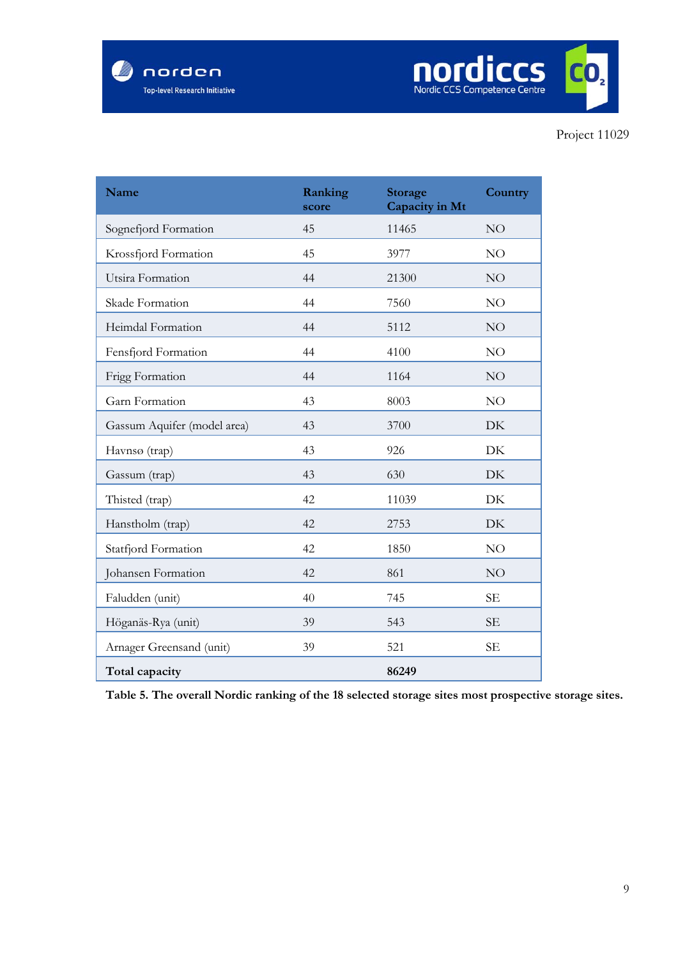

| Name                        | Ranking<br>score | <b>Storage</b><br>Capacity in Mt | Country   |
|-----------------------------|------------------|----------------------------------|-----------|
| Sognefjord Formation        | 45               | 11465                            | NO        |
| Krossfjord Formation        | 45               | 3977                             | NO.       |
| Utsira Formation            | 44               | 21300                            | NO        |
| Skade Formation             | 44               | 7560                             | NO        |
| Heimdal Formation           | 44               | 5112                             | NO        |
| Fensfjord Formation         | 44               | 4100                             | NO        |
| Frigg Formation             | 44               | 1164                             | NO        |
| Garn Formation              | 43               | 8003                             | NO        |
| Gassum Aquifer (model area) | 43               | 3700                             | DK        |
| Havnsø (trap)               | 43               | 926                              | DK        |
| Gassum (trap)               | 43               | 630                              | DK        |
| Thisted (trap)              | 42               | 11039                            | DK        |
| Hanstholm (trap)            | 42               | 2753                             | DK        |
| Statfjord Formation         | 42               | 1850                             | NO        |
| Johansen Formation          | 42               | 861                              | NO        |
| Faludden (unit)             | 40               | 745                              | <b>SE</b> |
| Höganäs-Rya (unit)          | 39               | 543                              | SE        |
| Arnager Greensand (unit)    | 39               | 521                              | <b>SE</b> |
| Total capacity              |                  | 86249                            |           |

**Table 5. The overall Nordic ranking of the 18 selected storage sites most prospective storage sites.**